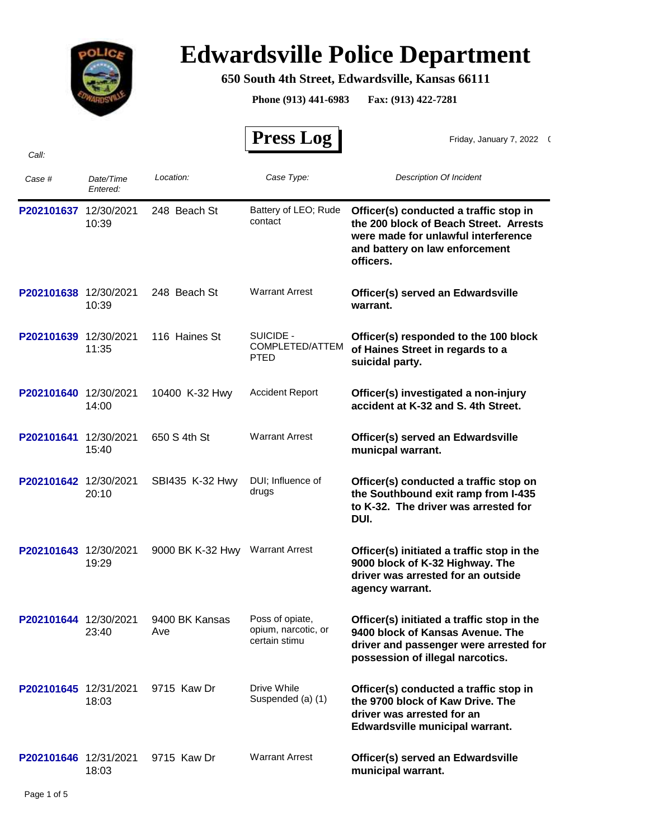

## **Edwardsville Police Department**

## **650 South 4th Street, Edwardsville, Kansas 66111**

**Phone (913) 441-6983 Fax: (913) 422-7281**

 $\overline{\phantom{0}}$ 

 $\mathbf{r}$ 

|                       |                       |                                 | <b>Press Log</b>                                        | Friday, January 7, 2022 (                                                                                                                                              |
|-----------------------|-----------------------|---------------------------------|---------------------------------------------------------|------------------------------------------------------------------------------------------------------------------------------------------------------------------------|
| Call:                 |                       |                                 |                                                         |                                                                                                                                                                        |
| Case #                | Date/Time<br>Entered: | Location:                       | Case Type:                                              | <b>Description Of Incident</b>                                                                                                                                         |
| P202101637            | 12/30/2021<br>10:39   | 248 Beach St                    | Battery of LEO; Rude<br>contact                         | Officer(s) conducted a traffic stop in<br>the 200 block of Beach Street. Arrests<br>were made for unlawful interference<br>and battery on law enforcement<br>officers. |
| P202101638 12/30/2021 | 10:39                 | 248 Beach St                    | <b>Warrant Arrest</b>                                   | Officer(s) served an Edwardsville<br>warrant.                                                                                                                          |
| P202101639 12/30/2021 | 11:35                 | 116 Haines St                   | SUICIDE -<br>COMPLETED/ATTEM<br>PTED                    | Officer(s) responded to the 100 block<br>of Haines Street in regards to a<br>suicidal party.                                                                           |
| P202101640            | 12/30/2021<br>14:00   | 10400 K-32 Hwy                  | <b>Accident Report</b>                                  | Officer(s) investigated a non-injury<br>accident at K-32 and S. 4th Street.                                                                                            |
| P202101641            | 12/30/2021<br>15:40   | 650 S 4th St                    | <b>Warrant Arrest</b>                                   | Officer(s) served an Edwardsville<br>municpal warrant.                                                                                                                 |
| P202101642 12/30/2021 | 20:10                 | SBI435 K-32 Hwy                 | DUI; Influence of<br>drugs                              | Officer(s) conducted a traffic stop on<br>the Southbound exit ramp from I-435<br>to K-32. The driver was arrested for<br>DUI.                                          |
| P202101643 12/30/2021 | 19:29                 | 9000 BK K-32 Hwy Warrant Arrest |                                                         | Officer(s) initiated a traffic stop in the<br>9000 block of K-32 Highway. The<br>driver was arrested for an outside<br>agency warrant.                                 |
| P202101644 12/30/2021 | 23:40                 | 9400 BK Kansas<br>Ave           | Poss of opiate,<br>opium, narcotic, or<br>certain stimu | Officer(s) initiated a traffic stop in the<br>9400 block of Kansas Avenue. The<br>driver and passenger were arrested for<br>possession of illegal narcotics.           |
| P202101645 12/31/2021 | 18:03                 | 9715 Kaw Dr                     | Drive While<br>Suspended (a) (1)                        | Officer(s) conducted a traffic stop in<br>the 9700 block of Kaw Drive. The<br>driver was arrested for an<br>Edwardsville municipal warrant.                            |
| P202101646 12/31/2021 | 18:03                 | 9715 Kaw Dr                     | <b>Warrant Arrest</b>                                   | Officer(s) served an Edwardsville<br>municipal warrant.                                                                                                                |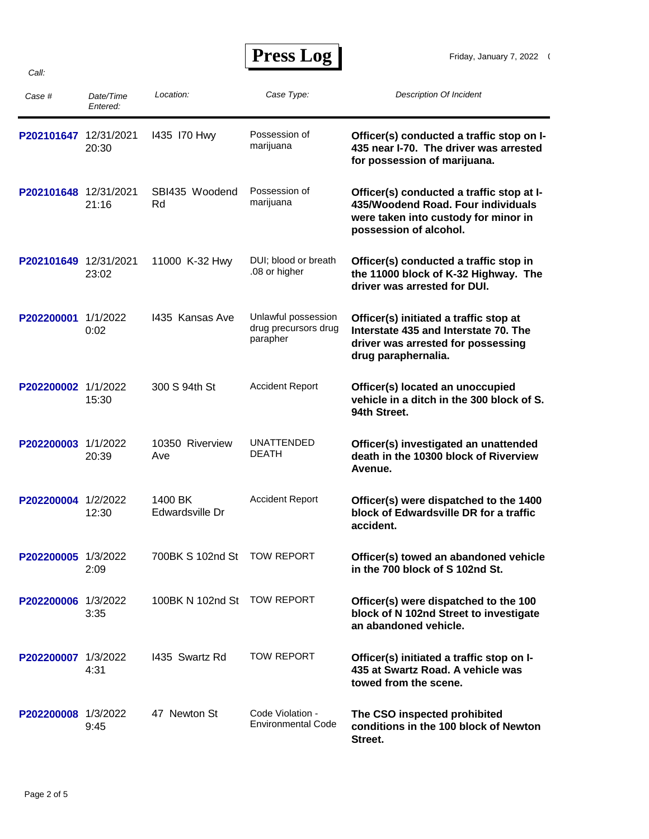## **Press Log**

| Case #                | Date/Time<br>Entered: | Location:                  | Case Type:                                              | <b>Description Of Incident</b>                                                                                                                    |
|-----------------------|-----------------------|----------------------------|---------------------------------------------------------|---------------------------------------------------------------------------------------------------------------------------------------------------|
| P202101647            | 12/31/2021<br>20:30   | 1435 170 Hwy               | Possession of<br>marijuana                              | Officer(s) conducted a traffic stop on I-<br>435 near I-70. The driver was arrested<br>for possession of marijuana.                               |
| P202101648 12/31/2021 | 21:16                 | SBI435 Woodend<br>Rd       | Possession of<br>marijuana                              | Officer(s) conducted a traffic stop at I-<br>435/Woodend Road. Four individuals<br>were taken into custody for minor in<br>possession of alcohol. |
| P202101649 12/31/2021 | 23:02                 | 11000 K-32 Hwy             | DUI; blood or breath<br>.08 or higher                   | Officer(s) conducted a traffic stop in<br>the 11000 block of K-32 Highway. The<br>driver was arrested for DUI.                                    |
| P202200001            | 1/1/2022<br>0:02      | 1435 Kansas Ave            | Unlawful possession<br>drug precursors drug<br>parapher | Officer(s) initiated a traffic stop at<br>Interstate 435 and Interstate 70. The<br>driver was arrested for possessing<br>drug paraphernalia.      |
| P202200002 1/1/2022   | 15:30                 | 300 S 94th St              | <b>Accident Report</b>                                  | Officer(s) located an unoccupied<br>vehicle in a ditch in the 300 block of S.<br>94th Street.                                                     |
| P202200003            | 1/1/2022<br>20:39     | 10350 Riverview<br>Ave     | <b>UNATTENDED</b><br><b>DEATH</b>                       | Officer(s) investigated an unattended<br>death in the 10300 block of Riverview<br>Avenue.                                                         |
| P202200004 1/2/2022   | 12:30                 | 1400 BK<br>Edwardsville Dr | <b>Accident Report</b>                                  | Officer(s) were dispatched to the 1400<br>block of Edwardsville DR for a traffic<br>accident.                                                     |
| P202200005 1/3/2022   | 2:09                  | 700BK S 102nd St           | <b>TOW REPORT</b>                                       | Officer(s) towed an abandoned vehicle<br>in the 700 block of S102nd St.                                                                           |
| P202200006 1/3/2022   | 3:35                  | 100BK N 102nd St           | <b>TOW REPORT</b>                                       | Officer(s) were dispatched to the 100<br>block of N 102nd Street to investigate<br>an abandoned vehicle.                                          |
| P202200007 1/3/2022   | 4:31                  | 1435 Swartz Rd             | TOW REPORT                                              | Officer(s) initiated a traffic stop on I-<br>435 at Swartz Road. A vehicle was<br>towed from the scene.                                           |
| P202200008 1/3/2022   | 9:45                  | 47 Newton St               | Code Violation -<br><b>Environmental Code</b>           | The CSO inspected prohibited<br>conditions in the 100 block of Newton<br>Street.                                                                  |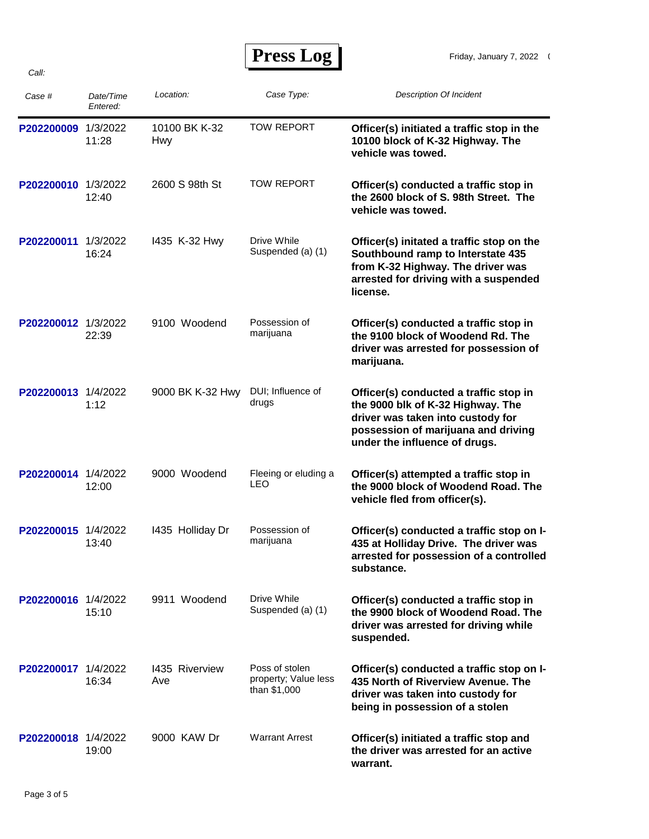*Call:*

 **Press Log** 

| Case #              | Date/Time<br>Entered: | Location:                   | Case Type:                                             | <b>Description Of Incident</b>                                                                                                                                                           |
|---------------------|-----------------------|-----------------------------|--------------------------------------------------------|------------------------------------------------------------------------------------------------------------------------------------------------------------------------------------------|
| P202200009          | 1/3/2022<br>11:28     | 10100 BK K-32<br><b>Hwy</b> | <b>TOW REPORT</b>                                      | Officer(s) initiated a traffic stop in the<br>10100 block of K-32 Highway. The<br>vehicle was towed.                                                                                     |
| P202200010 1/3/2022 | 12:40                 | 2600 S 98th St              | <b>TOW REPORT</b>                                      | Officer(s) conducted a traffic stop in<br>the 2600 block of S. 98th Street. The<br>vehicle was towed.                                                                                    |
| P202200011          | 1/3/2022<br>16:24     | 1435 K-32 Hwy               | Drive While<br>Suspended (a) (1)                       | Officer(s) initated a traffic stop on the<br>Southbound ramp to Interstate 435<br>from K-32 Highway. The driver was<br>arrested for driving with a suspended<br>license.                 |
| P202200012 1/3/2022 | 22:39                 | 9100 Woodend                | Possession of<br>marijuana                             | Officer(s) conducted a traffic stop in<br>the 9100 block of Woodend Rd. The<br>driver was arrested for possession of<br>marijuana.                                                       |
| P202200013 1/4/2022 | 1:12                  | 9000 BK K-32 Hwy            | DUI; Influence of<br>drugs                             | Officer(s) conducted a traffic stop in<br>the 9000 blk of K-32 Highway. The<br>driver was taken into custody for<br>possession of marijuana and driving<br>under the influence of drugs. |
| P202200014 1/4/2022 | 12:00                 | 9000 Woodend                | Fleeing or eluding a<br><b>LEO</b>                     | Officer(s) attempted a traffic stop in<br>the 9000 block of Woodend Road. The<br>vehicle fled from officer(s).                                                                           |
| P202200015 1/4/2022 | 13:40                 | 1435 Holliday Dr            | Possession of<br>marijuana                             | Officer(s) conducted a traffic stop on I-<br>435 at Holliday Drive. The driver was<br>arrested for possession of a controlled<br>substance.                                              |
| P202200016 1/4/2022 | 15:10                 | 9911 Woodend                | Drive While<br>Suspended (a) (1)                       | Officer(s) conducted a traffic stop in<br>the 9900 block of Woodend Road. The<br>driver was arrested for driving while<br>suspended.                                                     |
| P202200017 1/4/2022 | 16:34                 | 1435 Riverview<br>Ave       | Poss of stolen<br>property; Value less<br>than \$1,000 | Officer(s) conducted a traffic stop on I-<br>435 North of Riverview Avenue. The<br>driver was taken into custody for<br>being in possession of a stolen                                  |
| P202200018 1/4/2022 | 19:00                 | 9000 KAW Dr                 | <b>Warrant Arrest</b>                                  | Officer(s) initiated a traffic stop and<br>the driver was arrested for an active<br>warrant.                                                                                             |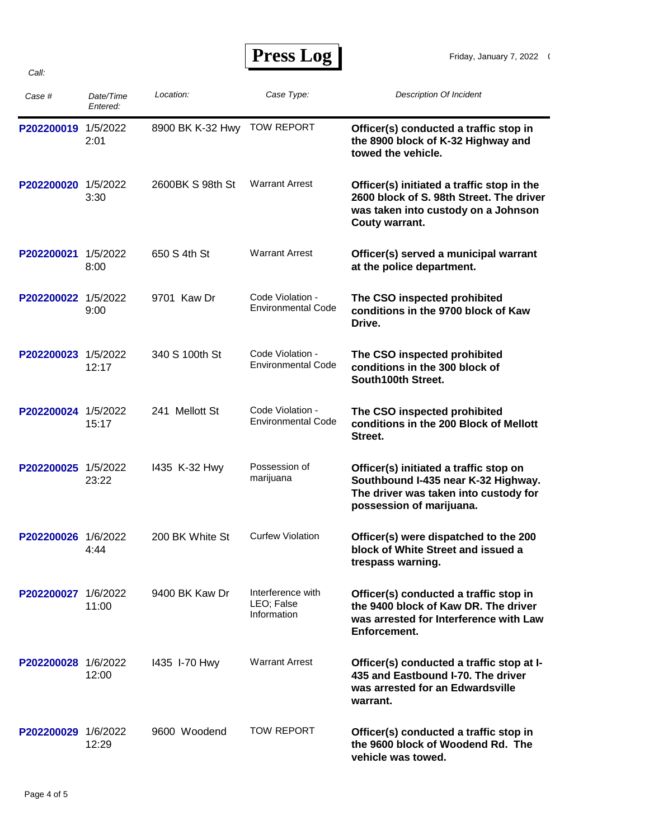| <b>Press Log</b> |  |
|------------------|--|
|------------------|--|

| Case #              | Date/Time<br>Entered: | Location:        | Case Type:                                     | Description Of Incident                                                                                                                            |
|---------------------|-----------------------|------------------|------------------------------------------------|----------------------------------------------------------------------------------------------------------------------------------------------------|
| P202200019 1/5/2022 | 2:01                  | 8900 BK K-32 Hwy | <b>TOW REPORT</b>                              | Officer(s) conducted a traffic stop in<br>the 8900 block of K-32 Highway and<br>towed the vehicle.                                                 |
| P202200020          | 1/5/2022<br>3:30      | 2600BK S 98th St | <b>Warrant Arrest</b>                          | Officer(s) initiated a traffic stop in the<br>2600 block of S. 98th Street. The driver<br>was taken into custody on a Johnson<br>Couty warrant.    |
| P202200021          | 1/5/2022<br>8:00      | 650 S 4th St     | <b>Warrant Arrest</b>                          | Officer(s) served a municipal warrant<br>at the police department.                                                                                 |
| P202200022 1/5/2022 | 9:00                  | 9701 Kaw Dr      | Code Violation -<br><b>Environmental Code</b>  | The CSO inspected prohibited<br>conditions in the 9700 block of Kaw<br>Drive.                                                                      |
| P202200023          | 1/5/2022<br>12:17     | 340 S 100th St   | Code Violation -<br><b>Environmental Code</b>  | The CSO inspected prohibited<br>conditions in the 300 block of<br>South100th Street.                                                               |
| P202200024 1/5/2022 | 15:17                 | 241 Mellott St   | Code Violation -<br><b>Environmental Code</b>  | The CSO inspected prohibited<br>conditions in the 200 Block of Mellott<br>Street.                                                                  |
| P202200025          | 1/5/2022<br>23:22     | 1435 K-32 Hwy    | Possession of<br>marijuana                     | Officer(s) initiated a traffic stop on<br>Southbound I-435 near K-32 Highway.<br>The driver was taken into custody for<br>possession of marijuana. |
| P202200026 1/6/2022 | 4:44                  | 200 BK White St  | <b>Curfew Violation</b>                        | Officer(s) were dispatched to the 200<br>block of White Street and issued a<br>trespass warning.                                                   |
| P202200027 1/6/2022 | 11:00                 | 9400 BK Kaw Dr   | Interference with<br>LEO; False<br>Information | Officer(s) conducted a traffic stop in<br>the 9400 block of Kaw DR. The driver<br>was arrested for Interference with Law<br>Enforcement.           |
| P202200028 1/6/2022 | 12:00                 | 1435 I-70 Hwy    | <b>Warrant Arrest</b>                          | Officer(s) conducted a traffic stop at I-<br>435 and Eastbound I-70. The driver<br>was arrested for an Edwardsville<br>warrant.                    |
| P202200029 1/6/2022 | 12:29                 | 9600 Woodend     | TOW REPORT                                     | Officer(s) conducted a traffic stop in<br>the 9600 block of Woodend Rd. The<br>vehicle was towed.                                                  |